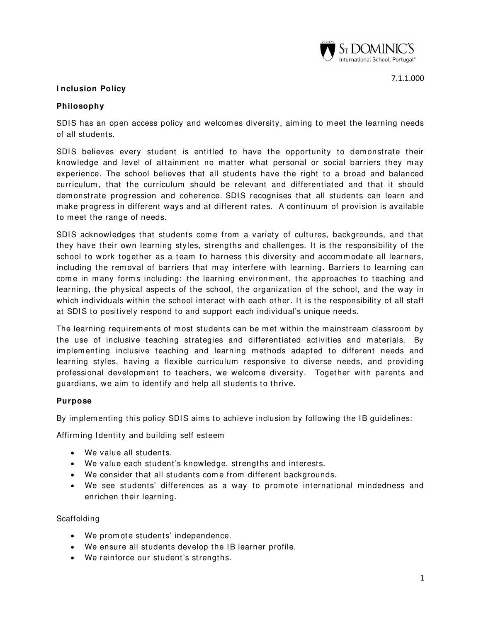

## **I nclusion Policy**

## **Philosophy**

SDIS has an open access policy and welcomes diversity, aiming to meet the learning needs of all students.

SDIS believes every student is entitled to have the opportunity to demonstrate their knowledge and level of attainment no matter what personal or social barriers they may experience. The school believes that all students have the right to a broad and balanced curriculum, that the curriculum should be relevant and differentiated and that it should dem onstrate progression and coherence. SDIS recognises that all students can learn and m ake progress in different ways and at different rates. A continuum of provision is available to m eet the range of needs.

SDIS acknowledges that students come from a variety of cultures, backgrounds, and that they have their own learning styles, strengths and challenges. It is the responsibility of the school to work together as a team to harness this diversity and accommodate all learners, including the removal of barriers that may interfere with learning. Barriers to learning can come in many forms including: the learning environment, the approaches to teaching and learning, the physical aspects of the school, the organization of the school, and the way in which individuals within the school interact with each other. It is the responsibility of all staff at SDIS to positively respond to and support each individual's unique needs.

The learning requirements of most students can be met within the mainstream classroom by the use of inclusive teaching strategies and differentiated activities and m aterials. By im plem enting inclusive teaching and learning methods adapted to different needs and learning styles, having a flexible curriculum responsive to diverse needs, and providing professional development to teachers, we welcome diversity. Together with parents and guardians, we aim to identify and help all students to thrive.

### **Purpose**

By implementing this policy SDIS aims to achieve inclusion by following the IB guidelines:

Affirming Identity and building self esteem

- We value all students.
- We value each student's knowledge, strengths and interests.
- We consider that all students come from different backgrounds.
- We see students' differences as a way to prom ote international mindedness and enrichen their learning.

Scaffolding

- We prom ote students' independence.
- We ensure all students develop the IB learner profile.
- We reinforce our student's strengths.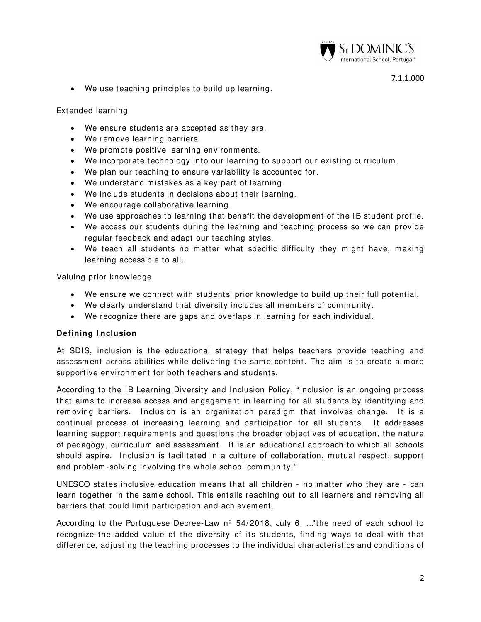

• We use teaching principles to build up learning.

### Extended learning

- We ensure students are accepted as they are.
- We rem ove learning barriers.
- We prom ote positive learning environm ents.
- We incorporate technology into our learning to support our existing curriculum .
- We plan our teaching to ensure variability is accounted for.
- We understand mistakes as a key part of learning.
- We include students in decisions about their learning.
- We encourage collaborative learning.
- We use approaches to learning that benefit the development of the IB student profile.
- We access our students during the learning and teaching process so we can provide regular feedback and adapt our teaching styles.
- We teach all students no matter what specific difficulty they might have, making learning accessible to all.

Valuing prior knowledge

- We ensure we connect with students' prior knowledge to build up their full potential.
- We clearly understand that diversity includes all members of community.
- We recognize there are gaps and overlaps in learning for each individual.

### **Defining I nclusion**

At SDIS, inclusion is the educational strategy that helps teachers provide teaching and assessment across abilities while delivering the same content. The aim is to create a more supportive environm ent for both teachers and students.

According to the IB Learning Diversity and Inclusion Policy, "inclusion is an ongoing process that aims to increase access and engagement in learning for all students by identifying and rem oving barriers. Inclusion is an organization paradigm that involves change. It is a continual process of increasing learning and participation for all students. It addresses learning support requirements and questions the broader objectives of education, the nature of pedagogy, curriculum and assessm ent. It is an educational approach to which all schools should aspire. Inclusion is facilitated in a culture of collaboration, mutual respect, support and problem -solving involving the whole school community."

UNESCO states inclusive education m eans that all children - no m atter who they are - can learn together in the same school. This entails reaching out to all learners and removing all barriers that could limit participation and achievement.

According to the Portuguese Decree-Law  $n^{\circ}$  54/2018, July 6, ..."the need of each school to recognize the added value of the diversity of its students, finding ways to deal with that difference, adjusting the teaching processes to the individual characteristics and conditions of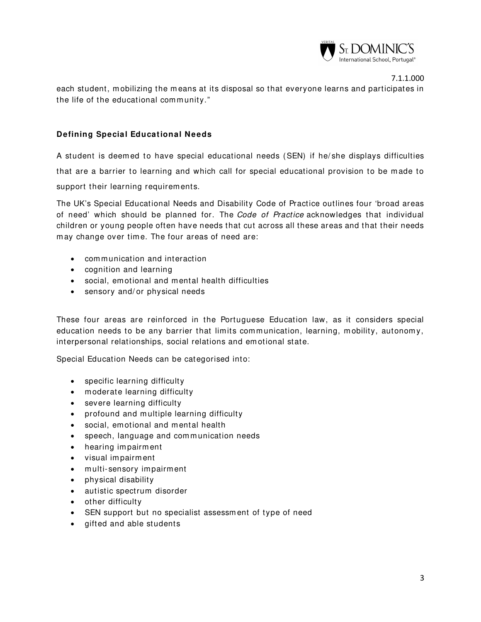

each student, m obilizing the m eans at its disposal so that everyone learns and participates in the life of the educational community."

# **Defining Special Educational Needs**

A student is deemed to have special educational needs (SEN) if he/ she displays difficulties that are a barrier to learning and which call for special educational provision to be made to support their learning requirements.

The UK's [Special Educational Needs and Disability Code of Practice](https://www.gov.uk/government/publications/send-code-of-practice-0-to-25) outlines four 'broad areas of need' which should be planned for. The Code of Practice acknowledges that individual children or young people often have needs that cut across all these areas and that their needs may change over time. The four areas of need are:

- communication and interaction
- cognition and learning
- social, emotional and mental health difficulties
- sensory and/or physical needs

These four areas are reinforced in the Portuguese Education law, as it considers special education needs to be any barrier that limits communication, learning, m obility, autonomy, interpersonal relationships, social relations and em otional state.

Special Education Needs can be categorised into:

- specific learning difficulty
- moderate learning difficulty
- severe learning difficulty
- profound and multiple learning difficulty
- social, emotional and mental health
- speech, language and communication needs
- hearing im pairm ent
- visual impairment
- m ulti- sensory im pairm ent
- physical disability
- autistic spectrum disorder
- other difficulty
- SEN support but no specialist assessm ent of type of need
- gifted and able students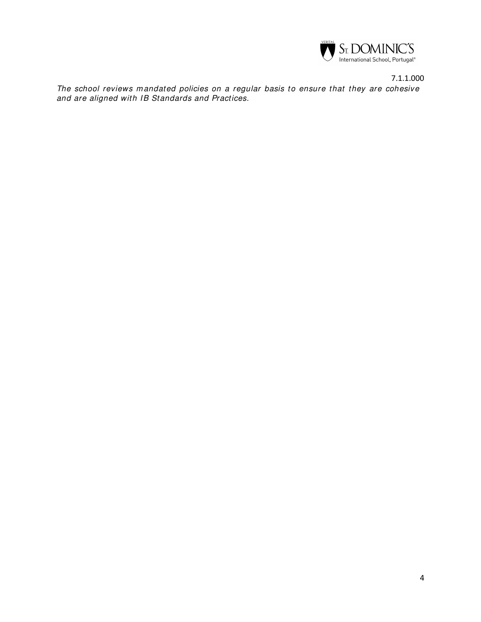

7.1.1.000 The school reviews mandated policies on a regular basis to ensure that they are cohesive and are aligned with IB Standards and Practices.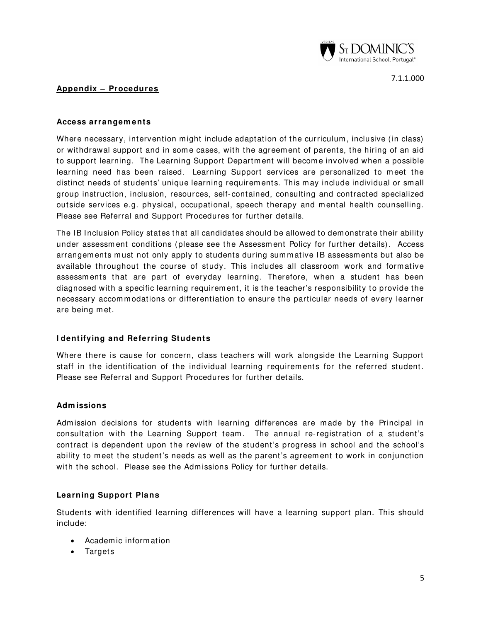

## **Appendix – Procedures**

#### **Access arrangem ents**

Where necessary, intervention might include adaptation of the curriculum, inclusive (in class) or withdrawal support and in some cases, with the agreement of parents, the hiring of an aid to support learning. The Learning Support Department will become involved when a possible learning need has been raised. Learning Support services are personalized to m eet the distinct needs of students' unique learning requirem ents. This m ay include individual or sm all group instruction, inclusion, resources, self- contained, consulting and contracted specialized outside services e.g. physical, occupational, speech therapy and mental health counselling. Please see Referral and Support Procedures for further details.

The IB Inclusion Policy states that all candidates should be allowed to dem onstrate their ability under assessm ent conditions (please see the Assessm ent Policy for further details). Access arrangements must not only apply to students during summative IB assessments but also be available throughout the course of study. This includes all classroom work and formative assessm ents that are part of everyday learning. Therefore, when a student has been diagnosed with a specific learning requirement, it is the teacher's responsibility to provide the necessary accom m odations or differentiation to ensure the particular needs of every learner are being met.

### **I dentifying and Referring Students**

Where there is cause for concern, class teachers will work alongside the Learning Support staff in the identification of the individual learning requirem ents for the referred student. Please see Referral and Support Procedures for further details.

### **Adm issions**

Adm ission decisions for students with learning differences are m ade by the Principal in consultation with the Learning Support team. The annual re-registration of a student's contract is dependent upon the review of the student's progress in school and the school's ability to meet the student's needs as well as the parent's agreement to work in conjunction with the school. Please see the Adm issions Policy for further details.

### **Learning Support Plans**

Students with identified learning differences will have a learning support plan. This should include:

- Academ ic inform ation
- Targets